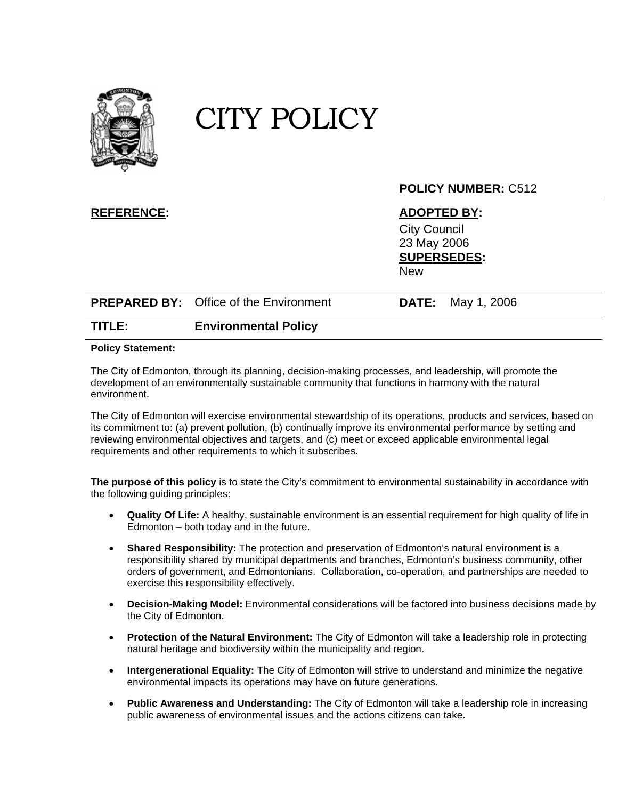

## CITY POLICY

## **POLICY NUMBER:** C512

## **REFERENCE: ADOPTED BY:**

City Council 23 May 2006 **SUPERSEDES: New** 

|        | <b>PREPARED BY:</b> Office of the Environment | <b>DATE:</b> May 1, 2006 |  |
|--------|-----------------------------------------------|--------------------------|--|
| TITLE: | <b>Environmental Policy</b>                   |                          |  |

## **Policy Statement:**

The City of Edmonton, through its planning, decision-making processes, and leadership, will promote the development of an environmentally sustainable community that functions in harmony with the natural environment.

The City of Edmonton will exercise environmental stewardship of its operations, products and services, based on its commitment to: (a) prevent pollution, (b) continually improve its environmental performance by setting and reviewing environmental objectives and targets, and (c) meet or exceed applicable environmental legal requirements and other requirements to which it subscribes.

**The purpose of this policy** is to state the City's commitment to environmental sustainability in accordance with the following guiding principles:

- **Quality Of Life:** A healthy, sustainable environment is an essential requirement for high quality of life in Edmonton – both today and in the future.
- **Shared Responsibility:** The protection and preservation of Edmonton's natural environment is a responsibility shared by municipal departments and branches, Edmonton's business community, other orders of government, and Edmontonians. Collaboration, co-operation, and partnerships are needed to exercise this responsibility effectively.
- **Decision-Making Model:** Environmental considerations will be factored into business decisions made by the City of Edmonton.
- **Protection of the Natural Environment:** The City of Edmonton will take a leadership role in protecting natural heritage and biodiversity within the municipality and region.
- **Intergenerational Equality:** The City of Edmonton will strive to understand and minimize the negative environmental impacts its operations may have on future generations.
- **Public Awareness and Understanding:** The City of Edmonton will take a leadership role in increasing public awareness of environmental issues and the actions citizens can take.